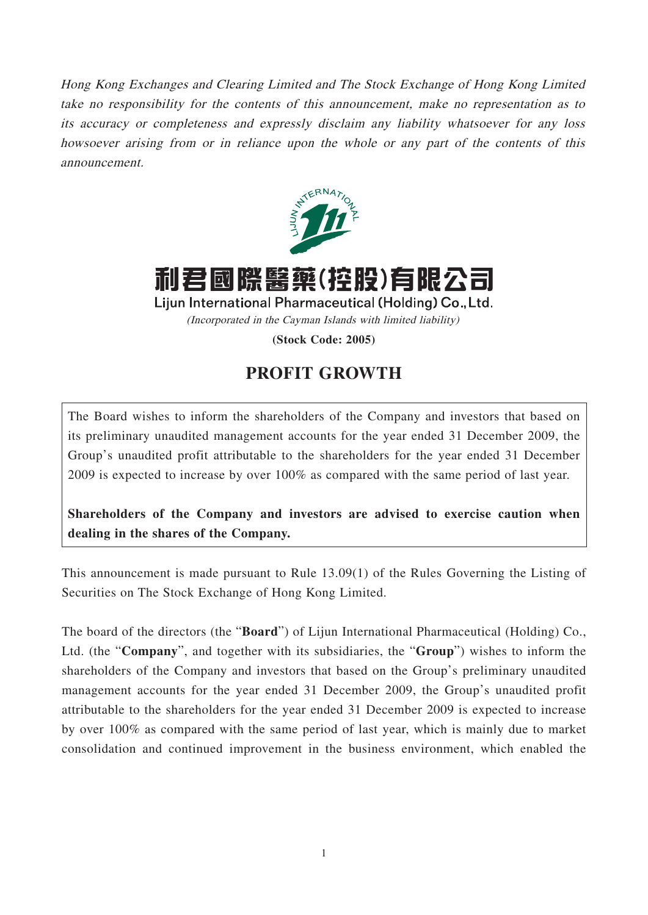Hong Kong Exchanges and Clearing Limited and The Stock Exchange of Hong Kong Limited take no responsibility for the contents of this announcement, make no representation as to its accuracy or completeness and expressly disclaim any liability whatsoever for any loss howsoever arising from or in reliance upon the whole or any part of the contents of this announcement.



利君國際醫藥(控股)有限公司

Lijun International Pharmaceutical (Holding) Co., Ltd. (Incorporated in the Cayman Islands with limited liability)

**(Stock Code: 2005)**

## **PROFIT GROWTH**

The Board wishes to inform the shareholders of the Company and investors that based on its preliminary unaudited management accounts for the year ended 31 December 2009, the Group's unaudited profit attributable to the shareholders for the year ended 31 December 2009 is expected to increase by over 100% as compared with the same period of last year.

**Shareholders of the Company and investors are advised to exercise caution when dealing in the shares of the Company.**

This announcement is made pursuant to Rule 13.09(1) of the Rules Governing the Listing of Securities on The Stock Exchange of Hong Kong Limited.

The board of the directors (the "**Board**") of Lijun International Pharmaceutical (Holding) Co., Ltd. (the "**Company**", and together with its subsidiaries, the "**Group**") wishes to inform the shareholders of the Company and investors that based on the Group's preliminary unaudited management accounts for the year ended 31 December 2009, the Group's unaudited profit attributable to the shareholders for the year ended 31 December 2009 is expected to increase by over 100% as compared with the same period of last year, which is mainly due to market consolidation and continued improvement in the business environment, which enabled the